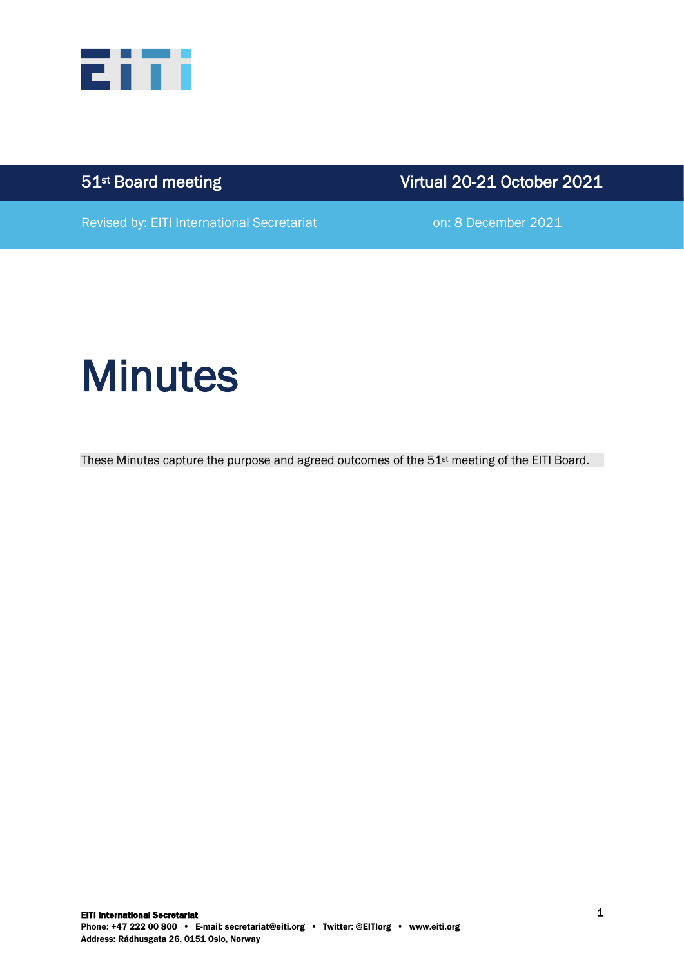

51<sup>st</sup> Board meeting

Virtual 20-21 October 2021

Revised by: EITI International Secretariat **on: 8 December 2021** 

# **Minutes**

These Minutes capture the purpose and agreed outcomes of the 51st meeting of the EITI Board.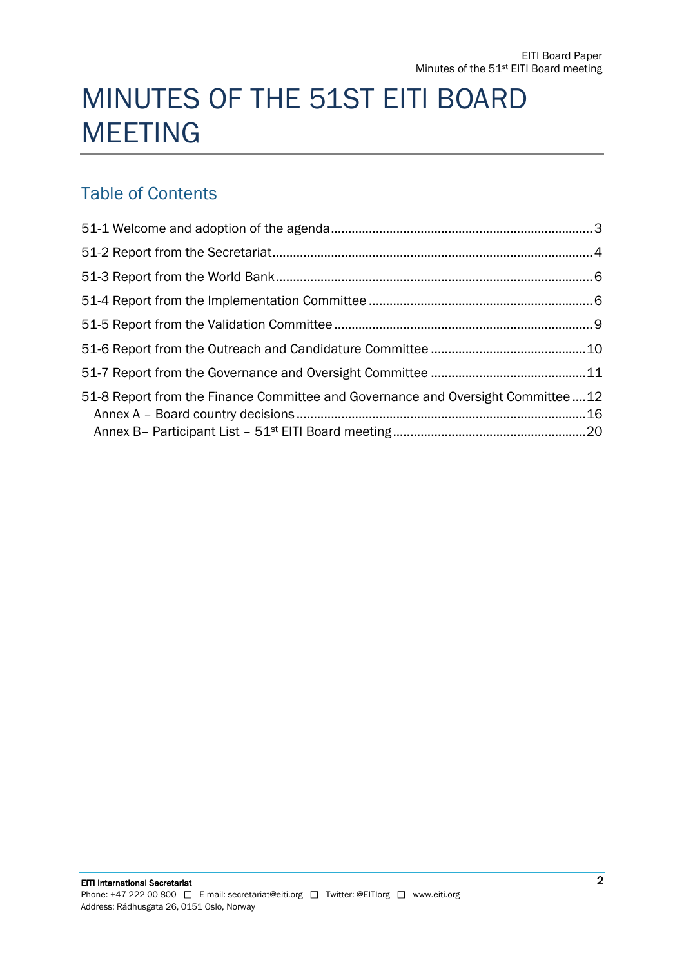## MINUTES OF THE 51ST EITI BOARD MEETING

## Table of Contents

| 51-8 Report from the Finance Committee and Governance and Oversight Committee12 |  |
|---------------------------------------------------------------------------------|--|
|                                                                                 |  |
|                                                                                 |  |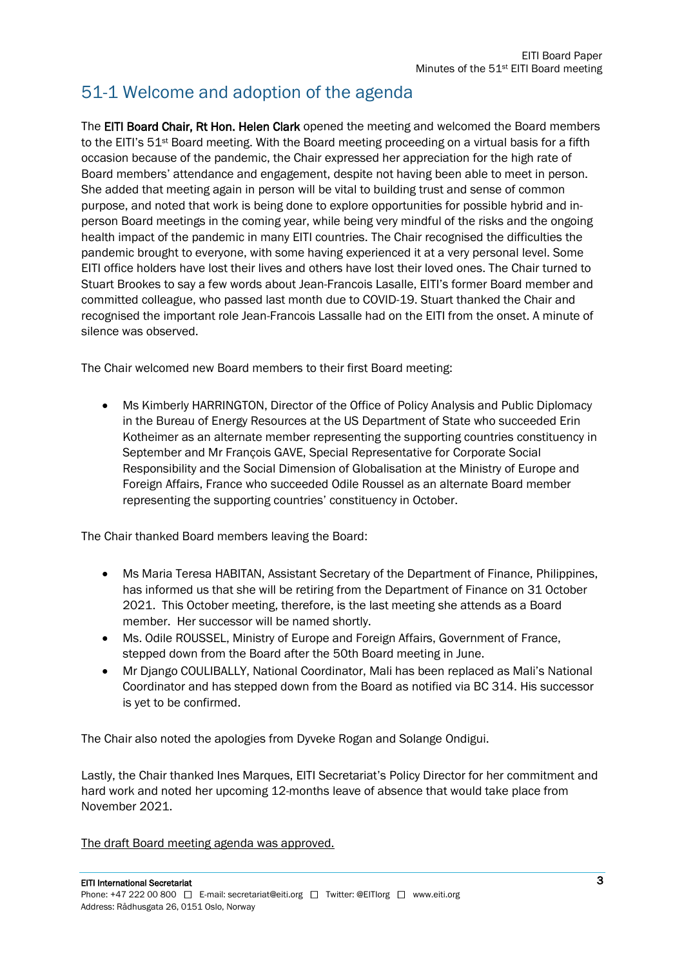## 51-1 Welcome and adoption of the agenda

The EITI Board Chair, Rt Hon. Helen Clark opened the meeting and welcomed the Board members to the EITI's 51<sup>st</sup> Board meeting. With the Board meeting proceeding on a virtual basis for a fifth occasion because of the pandemic, the Chair expressed her appreciation for the high rate of Board members' attendance and engagement, despite not having been able to meet in person. She added that meeting again in person will be vital to building trust and sense of common purpose, and noted that work is being done to explore opportunities for possible hybrid and inperson Board meetings in the coming year, while being very mindful of the risks and the ongoing health impact of the pandemic in many EITI countries. The Chair recognised the difficulties the pandemic brought to everyone, with some having experienced it at a very personal level. Some EITI office holders have lost their lives and others have lost their loved ones. The Chair turned to Stuart Brookes to say a few words about Jean-Francois Lasalle, EITI's former Board member and committed colleague, who passed last month due to COVID-19. Stuart thanked the Chair and recognised the important role Jean-Francois Lassalle had on the EITI from the onset. A minute of silence was observed.

The Chair welcomed new Board members to their first Board meeting:

• Ms Kimberly HARRINGTON, Director of the Office of Policy Analysis and Public Diplomacy in the Bureau of Energy Resources at the US Department of State who succeeded Erin Kotheimer as an alternate member representing the supporting countries constituency in September and Mr François GAVE, Special Representative for Corporate Social Responsibility and the Social Dimension of Globalisation at the Ministry of Europe and Foreign Affairs, France who succeeded Odile Roussel as an alternate Board member representing the supporting countries' constituency in October.

The Chair thanked Board members leaving the Board:

- Ms Maria Teresa HABITAN, Assistant Secretary of the Department of Finance, Philippines, has informed us that she will be retiring from the Department of Finance on 31 October 2021. This October meeting, therefore, is the last meeting she attends as a Board member. Her successor will be named shortly.
- Ms. Odile ROUSSEL, Ministry of Europe and Foreign Affairs, Government of France, stepped down from the Board after the 50th Board meeting in June.
- Mr Django COULIBALLY, National Coordinator, Mali has been replaced as Mali's National Coordinator and has stepped down from the Board as notified via BC 314. His successor is yet to be confirmed.

The Chair also noted the apologies from Dyveke Rogan and Solange Ondigui.

Lastly, the Chair thanked Ines Marques, EITI Secretariat's Policy Director for her commitment and hard work and noted her upcoming 12-months leave of absence that would take place from November 2021.

The draft Board meeting agenda was approved.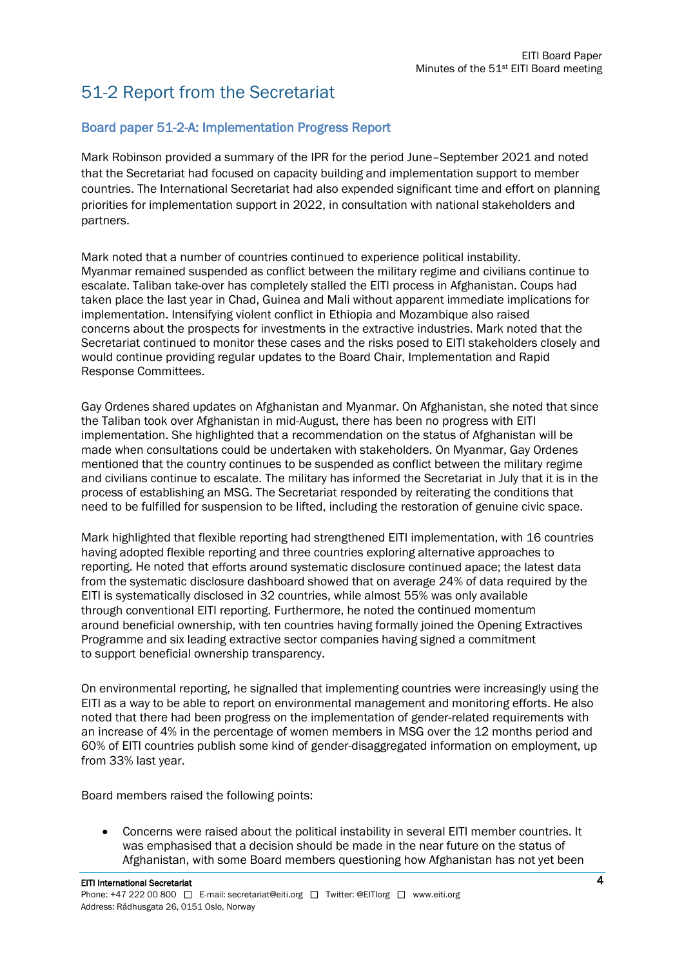## 51-2 Report from the Secretariat

#### Board paper 51-2-A: Implementation Progress Report

Mark Robinson provided a summary of the IPR for the period June–September 2021 and noted that the Secretariat had focused on capacity building and implementation support to member countries. The International Secretariat had also expended significant time and effort on planning priorities for implementation support in 2022, in consultation with national stakeholders and partners.

Mark noted that a number of countries continued to experience political instability. Myanmar remained suspended as conflict between the military regime and civilians continue to escalate. Taliban take-over has completely stalled the EITI process in Afghanistan. Coups had taken place the last year in Chad, Guinea and Mali without apparent immediate implications for implementation. Intensifying violent conflict in Ethiopia and Mozambique also raised concerns about the prospects for investments in the extractive industries. Mark noted that the Secretariat continued to monitor these cases and the risks posed to EITI stakeholders closely and would continue providing regular updates to the Board Chair, Implementation and Rapid Response Committees.

Gay Ordenes shared updates on Afghanistan and Myanmar. On Afghanistan, she noted that since the Taliban took over Afghanistan in mid-August, there has been no progress with EITI implementation. She highlighted that a recommendation on the status of Afghanistan will be made when consultations could be undertaken with stakeholders. On Myanmar, Gay Ordenes mentioned that the country continues to be suspended as conflict between the military regime and civilians continue to escalate. The military has informed the Secretariat in July that it is in the process of establishing an MSG. The Secretariat responded by reiterating the conditions that need to be fulfilled for suspension to be lifted, including the restoration of genuine civic space.

Mark highlighted that flexible reporting had strengthened EITI implementation, with 16 countries having adopted flexible reporting and three countries exploring alternative approaches to reporting. He noted that efforts around systematic disclosure continued apace; the latest data from the systematic disclosure dashboard showed that on average 24% of data required by the EITI is systematically disclosed in 32 countries, while almost 55% was only available through conventional EITI reporting. Furthermore, he noted the continued momentum around beneficial ownership, with ten countries having formally joined the Opening Extractives Programme and six leading extractive sector companies having signed a commitment to support beneficial ownership transparency.

On environmental reporting, he signalled that implementing countries were increasingly using the EITI as a way to be able to report on environmental management and monitoring efforts. He also noted that there had been progress on the implementation of gender-related requirements with an increase of 4% in the percentage of women members in MSG over the 12 months period and 60% of EITI countries publish some kind of gender-disaggregated information on employment, up from 33% last year.

Board members raised the following points:

• Concerns were raised about the political instability in several EITI member countries. It was emphasised that a decision should be made in the near future on the status of Afghanistan, with some Board members questioning how Afghanistan has not yet been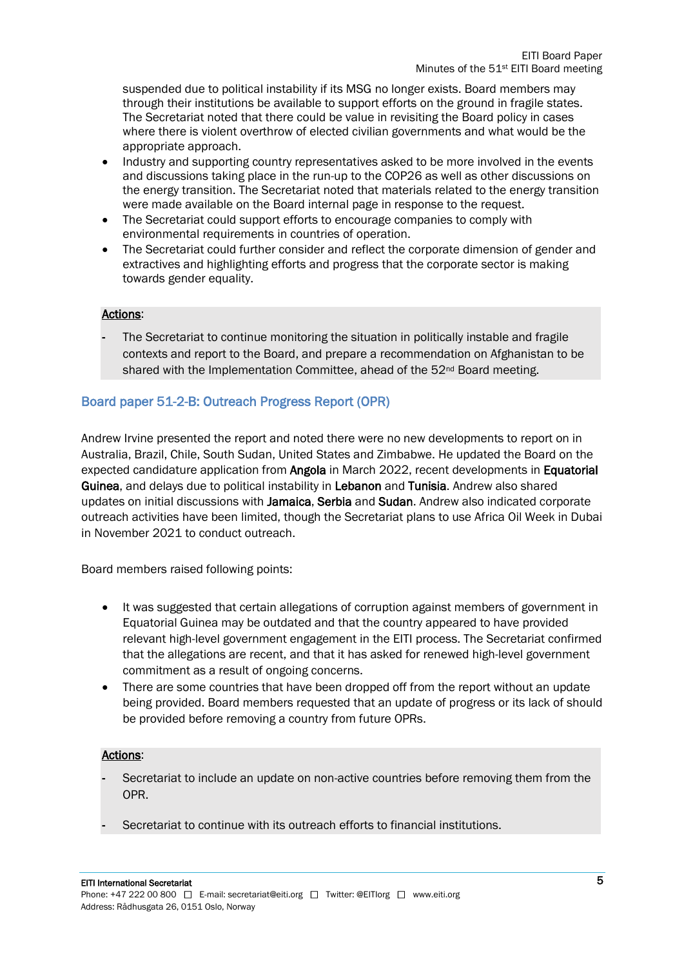suspended due to political instability if its MSG no longer exists. Board members may through their institutions be available to support efforts on the ground in fragile states. The Secretariat noted that there could be value in revisiting the Board policy in cases where there is violent overthrow of elected civilian governments and what would be the appropriate approach.

- Industry and supporting country representatives asked to be more involved in the events and discussions taking place in the run-up to the COP26 as well as other discussions on the energy transition. The Secretariat noted that materials related to the energy transition were made available on the Board internal page in response to the request.
- The Secretariat could support efforts to encourage companies to comply with environmental requirements in countries of operation.
- The Secretariat could further consider and reflect the corporate dimension of gender and extractives and highlighting efforts and progress that the corporate sector is making towards gender equality.

#### Actions:

The Secretariat to continue monitoring the situation in politically instable and fragile contexts and report to the Board, and prepare a recommendation on Afghanistan to be shared with the Implementation Committee, ahead of the  $52<sup>nd</sup>$  Board meeting.

#### Board paper 51-2-B: Outreach Progress Report (OPR)

Andrew Irvine presented the report and noted there were no new developments to report on in Australia, Brazil, Chile, South Sudan, United States and Zimbabwe. He updated the Board on the expected candidature application from Angola in March 2022, recent developments in Equatorial Guinea, and delays due to political instability in Lebanon and Tunisia. Andrew also shared updates on initial discussions with Jamaica, Serbia and Sudan. Andrew also indicated corporate outreach activities have been limited, though the Secretariat plans to use Africa Oil Week in Dubai in November 2021 to conduct outreach.

Board members raised following points:

- It was suggested that certain allegations of corruption against members of government in Equatorial Guinea may be outdated and that the country appeared to have provided relevant high-level government engagement in the EITI process. The Secretariat confirmed that the allegations are recent, and that it has asked for renewed high-level government commitment as a result of ongoing concerns.
- There are some countries that have been dropped off from the report without an update being provided. Board members requested that an update of progress or its lack of should be provided before removing a country from future OPRs.

#### Actions:

- Secretariat to include an update on non-active countries before removing them from the OPR.
- Secretariat to continue with its outreach efforts to financial institutions.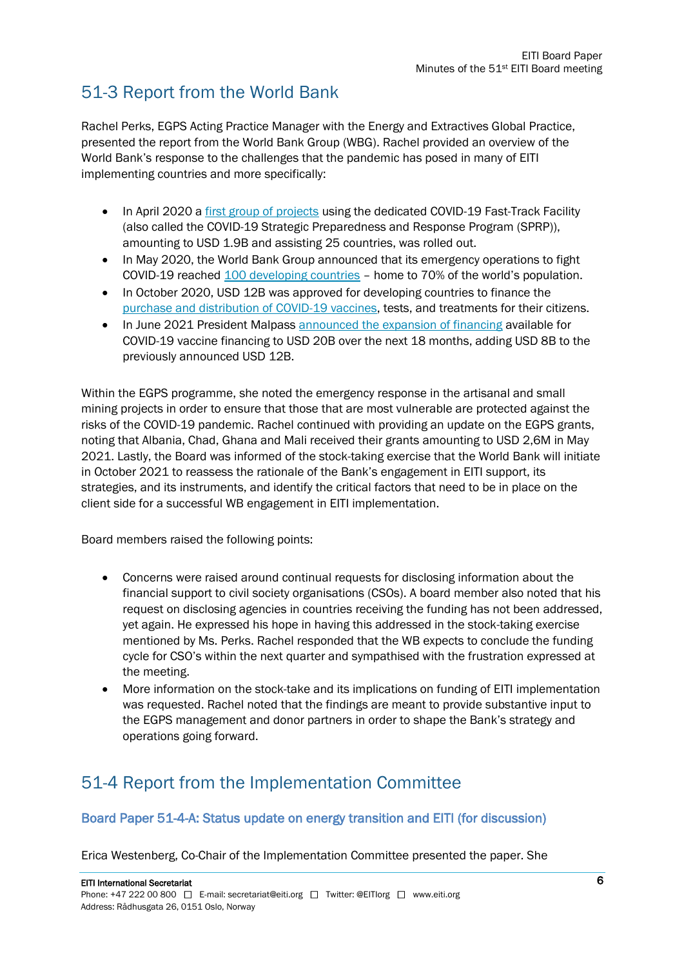## 51-3 Report from the World Bank

Rachel Perks, EGPS Acting Practice Manager with the Energy and Extractives Global Practice, presented the report from the World Bank Group (WBG). Rachel provided an overview of the World Bank's response to the challenges that the pandemic has posed in many of EITI implementing countries and more specifically:

- In April 2020 a [first group of projects](https://www.worldbank.org/en/news/press-release/2020/04/02/world-bank-group-launches-first-operations-for-covid-19-coronavirus-emergency-health-support-strengthening-developing-country-responses) using the dedicated COVID-19 Fast-Track Facility (also called the COVID-19 Strategic Preparedness and Response Program (SPRP)), amounting to USD 1.9B and assisting 25 countries, was rolled out.
- In May 2020, the World Bank Group announced that its emergency operations to fight COVID-19 reached [100 developing countries](https://www.worldbank.org/en/news/press-release/2020/05/19/world-bank-group-100-countries-get-support-in-response-to-covid-19-coronavirus) – home to 70% of the world's population.
- In October 2020, USD 12B was approved for developing countries to finance the [purchase and distribution of COVID-19 vaccines,](https://www.worldbank.org/en/news/press-release/2020/10/13/world-bank-approves-12-billion-for-covid-19-vaccines) tests, and treatments for their citizens.
- In June 2021 President Malpass [announced the expansion of financing](https://www.worldbank.org/en/news/speech/2021/06/30/remarks-by-wbg-president-david-malpass-on-world-bank-group-action-on-covid-19-vaccines-for-developing-countries) available for COVID-19 vaccine financing to USD 20B over the next 18 months, adding USD 8B to the previously announced USD 12B.

Within the EGPS programme, she noted the emergency response in the artisanal and small mining projects in order to ensure that those that are most vulnerable are protected against the risks of the COVID-19 pandemic. Rachel continued with providing an update on the EGPS grants, noting that Albania, Chad, Ghana and Mali received their grants amounting to USD 2,6M in May 2021. Lastly, the Board was informed of the stock-taking exercise that the World Bank will initiate in October 2021 to reassess the rationale of the Bank's engagement in EITI support, its strategies, and its instruments, and identify the critical factors that need to be in place on the client side for a successful WB engagement in EITI implementation.

Board members raised the following points:

- Concerns were raised around continual requests for disclosing information about the financial support to civil society organisations (CSOs). A board member also noted that his request on disclosing agencies in countries receiving the funding has not been addressed, yet again. He expressed his hope in having this addressed in the stock-taking exercise mentioned by Ms. Perks. Rachel responded that the WB expects to conclude the funding cycle for CSO's within the next quarter and sympathised with the frustration expressed at the meeting.
- More information on the stock-take and its implications on funding of EITI implementation was requested. Rachel noted that the findings are meant to provide substantive input to the EGPS management and donor partners in order to shape the Bank's strategy and operations going forward.

## 51-4 Report from the Implementation Committee

#### Board Paper 51-4-A: Status update on energy transition and EITI (for discussion)

Erica Westenberg, Co-Chair of the Implementation Committee presented the paper. She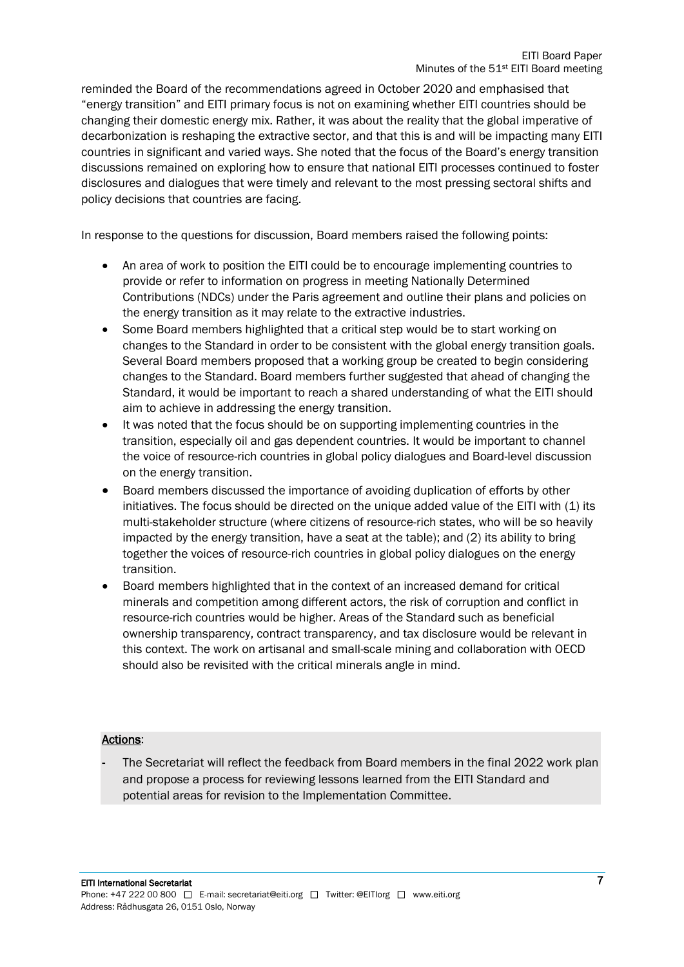reminded the Board of the recommendations agreed in October 2020 and emphasised that "energy transition" and EITI primary focus is not on examining whether EITI countries should be changing their domestic energy mix. Rather, it was about the reality that the global imperative of decarbonization is reshaping the extractive sector, and that this is and will be impacting many EITI countries in significant and varied ways. She noted that the focus of the Board's energy transition discussions remained on exploring how to ensure that national EITI processes continued to foster disclosures and dialogues that were timely and relevant to the most pressing sectoral shifts and policy decisions that countries are facing.

In response to the questions for discussion, Board members raised the following points:

- An area of work to position the EITI could be to encourage implementing countries to provide or refer to information on progress in meeting Nationally Determined Contributions (NDCs) under the Paris agreement and outline their plans and policies on the energy transition as it may relate to the extractive industries.
- Some Board members highlighted that a critical step would be to start working on changes to the Standard in order to be consistent with the global energy transition goals. Several Board members proposed that a working group be created to begin considering changes to the Standard. Board members further suggested that ahead of changing the Standard, it would be important to reach a shared understanding of what the EITI should aim to achieve in addressing the energy transition.
- It was noted that the focus should be on supporting implementing countries in the transition, especially oil and gas dependent countries. It would be important to channel the voice of resource-rich countries in global policy dialogues and Board-level discussion on the energy transition.
- Board members discussed the importance of avoiding duplication of efforts by other initiatives. The focus should be directed on the unique added value of the EITI with (1) its multi-stakeholder structure (where citizens of resource-rich states, who will be so heavily impacted by the energy transition, have a seat at the table); and (2) its ability to bring together the voices of resource-rich countries in global policy dialogues on the energy transition.
- Board members highlighted that in the context of an increased demand for critical minerals and competition among different actors, the risk of corruption and conflict in resource-rich countries would be higher. Areas of the Standard such as beneficial ownership transparency, contract transparency, and tax disclosure would be relevant in this context. The work on artisanal and small-scale mining and collaboration with OECD should also be revisited with the critical minerals angle in mind.

#### Actions:

The Secretariat will reflect the feedback from Board members in the final 2022 work plan and propose a process for reviewing lessons learned from the EITI Standard and potential areas for revision to the Implementation Committee.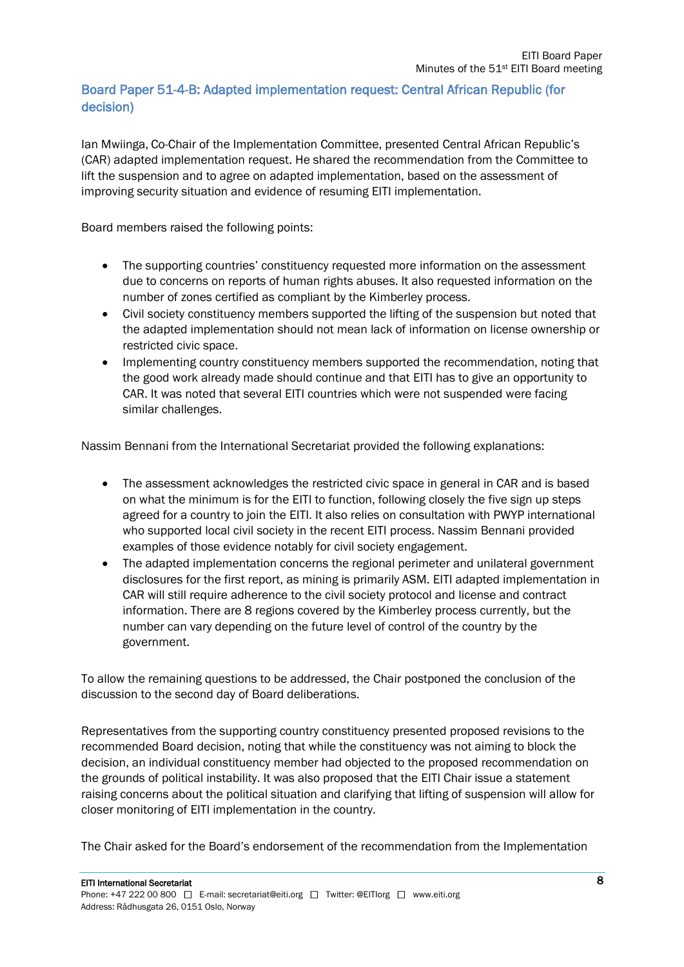#### Board Paper 51-4-B: Adapted implementation request: Central African Republic (for decision)

Ian Mwiinga, Co-Chair of the Implementation Committee, presented Central African Republic's (CAR) adapted implementation request. He shared the recommendation from the Committee to lift the suspension and to agree on adapted implementation, based on the assessment of improving security situation and evidence of resuming EITI implementation.

Board members raised the following points:

- The supporting countries' constituency requested more information on the assessment due to concerns on reports of human rights abuses. It also requested information on the number of zones certified as compliant by the Kimberley process.
- Civil society constituency members supported the lifting of the suspension but noted that the adapted implementation should not mean lack of information on license ownership or restricted civic space.
- Implementing country constituency members supported the recommendation, noting that the good work already made should continue and that EITI has to give an opportunity to CAR. It was noted that several EITI countries which were not suspended were facing similar challenges.

Nassim Bennani from the International Secretariat provided the following explanations:

- The assessment acknowledges the restricted civic space in general in CAR and is based on what the minimum is for the EITI to function, following closely the five sign up steps agreed for a country to join the EITI. It also relies on consultation with PWYP international who supported local civil society in the recent EITI process. Nassim Bennani provided examples of those evidence notably for civil society engagement.
- The adapted implementation concerns the regional perimeter and unilateral government disclosures for the first report, as mining is primarily ASM. EITI adapted implementation in CAR will still require adherence to the civil society protocol and license and contract information. There are 8 regions covered by the Kimberley process currently, but the number can vary depending on the future level of control of the country by the government.

To allow the remaining questions to be addressed, the Chair postponed the conclusion of the discussion to the second day of Board deliberations.

Representatives from the supporting country constituency presented proposed revisions to the recommended Board decision, noting that while the constituency was not aiming to block the decision, an individual constituency member had objected to the proposed recommendation on the grounds of political instability. It was also proposed that the EITI Chair issue a statement raising concerns about the political situation and clarifying that lifting of suspension will allow for closer monitoring of EITI implementation in the country.

The Chair asked for the Board's endorsement of the recommendation from the Implementation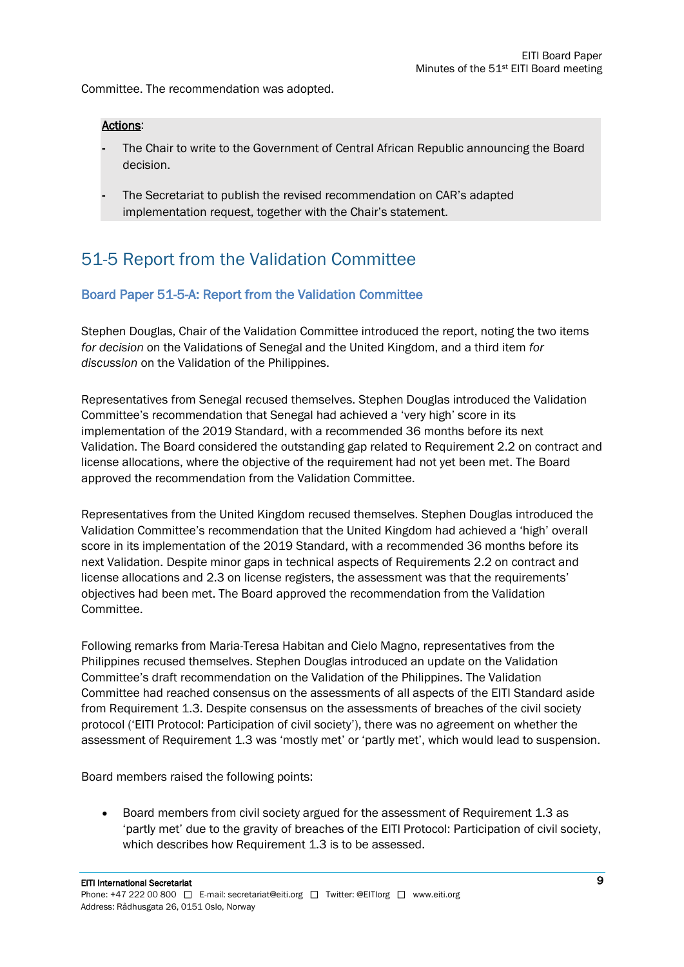Committee. The recommendation was adopted.

#### Actions:

- The Chair to write to the Government of Central African Republic announcing the Board decision.
- The Secretariat to publish the revised recommendation on CAR's adapted implementation request, together with the Chair's statement.

## 51-5 Report from the Validation Committee

#### Board Paper 51-5-A: Report from the Validation Committee

Stephen Douglas, Chair of the Validation Committee introduced the report, noting the two items *for decision* on the Validations of Senegal and the United Kingdom, and a third item *for discussion* on the Validation of the Philippines.

Representatives from Senegal recused themselves. Stephen Douglas introduced the Validation Committee's recommendation that Senegal had achieved a 'very high' score in its implementation of the 2019 Standard, with a recommended 36 months before its next Validation. The Board considered the outstanding gap related to Requirement 2.2 on contract and license allocations, where the objective of the requirement had not yet been met. The Board approved the recommendation from the Validation Committee.

Representatives from the United Kingdom recused themselves. Stephen Douglas introduced the Validation Committee's recommendation that the United Kingdom had achieved a 'high' overall score in its implementation of the 2019 Standard, with a recommended 36 months before its next Validation. Despite minor gaps in technical aspects of Requirements 2.2 on contract and license allocations and 2.3 on license registers, the assessment was that the requirements' objectives had been met. The Board approved the recommendation from the Validation Committee.

Following remarks from Maria-Teresa Habitan and Cielo Magno, representatives from the Philippines recused themselves. Stephen Douglas introduced an update on the Validation Committee's draft recommendation on the Validation of the Philippines. The Validation Committee had reached consensus on the assessments of all aspects of the EITI Standard aside from Requirement 1.3. Despite consensus on the assessments of breaches of the civil society protocol ('EITI Protocol: Participation of civil society'), there was no agreement on whether the assessment of Requirement 1.3 was 'mostly met' or 'partly met', which would lead to suspension.

Board members raised the following points:

• Board members from civil society argued for the assessment of Requirement 1.3 as 'partly met' due to the gravity of breaches of the EITI Protocol: Participation of civil society, which describes how Requirement 1.3 is to be assessed.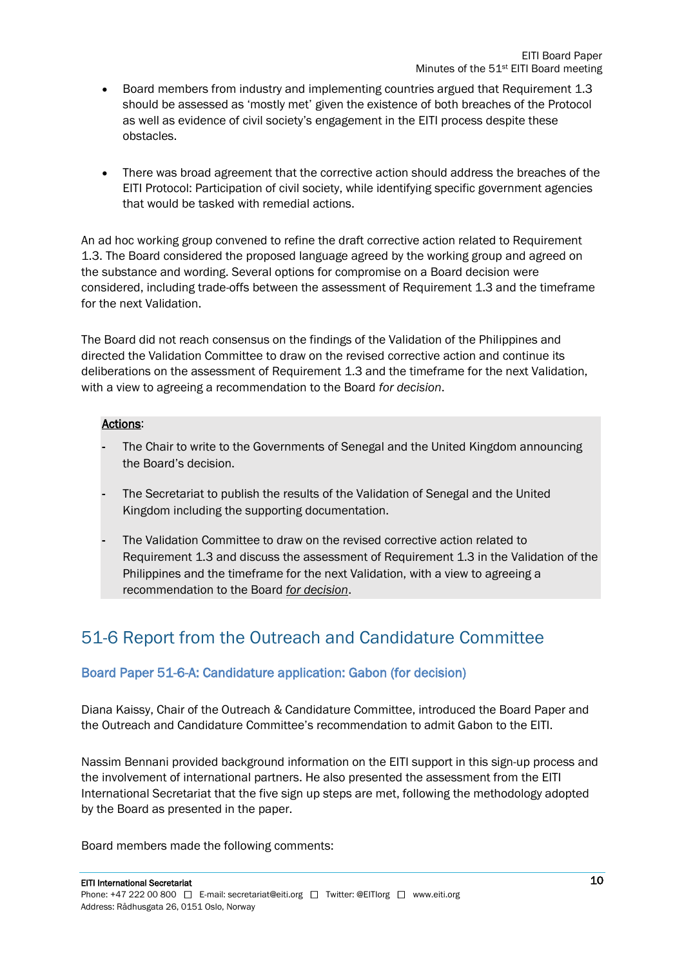- Board members from industry and implementing countries argued that Requirement 1.3 should be assessed as 'mostly met' given the existence of both breaches of the Protocol as well as evidence of civil society's engagement in the EITI process despite these obstacles.
- There was broad agreement that the corrective action should address the breaches of the EITI Protocol: Participation of civil society, while identifying specific government agencies that would be tasked with remedial actions.

An ad hoc working group convened to refine the draft corrective action related to Requirement 1.3. The Board considered the proposed language agreed by the working group and agreed on the substance and wording. Several options for compromise on a Board decision were considered, including trade-offs between the assessment of Requirement 1.3 and the timeframe for the next Validation.

The Board did not reach consensus on the findings of the Validation of the Philippines and directed the Validation Committee to draw on the revised corrective action and continue its deliberations on the assessment of Requirement 1.3 and the timeframe for the next Validation, with a view to agreeing a recommendation to the Board *for decision*.

#### Actions:

- The Chair to write to the Governments of Senegal and the United Kingdom announcing the Board's decision.
- The Secretariat to publish the results of the Validation of Senegal and the United Kingdom including the supporting documentation.
- The Validation Committee to draw on the revised corrective action related to Requirement 1.3 and discuss the assessment of Requirement 1.3 in the Validation of the Philippines and the timeframe for the next Validation, with a view to agreeing a recommendation to the Board *for decision*.

## 51-6 Report from the Outreach and Candidature Committee

#### Board Paper 51-6-A: Candidature application: Gabon (for decision)

Diana Kaissy, Chair of the Outreach & Candidature Committee, introduced the Board Paper and the Outreach and Candidature Committee's recommendation to admit Gabon to the EITI.

Nassim Bennani provided background information on the EITI support in this sign-up process and the involvement of international partners. He also presented the assessment from the EITI International Secretariat that the five sign up steps are met, following the methodology adopted by the Board as presented in the paper.

Board members made the following comments: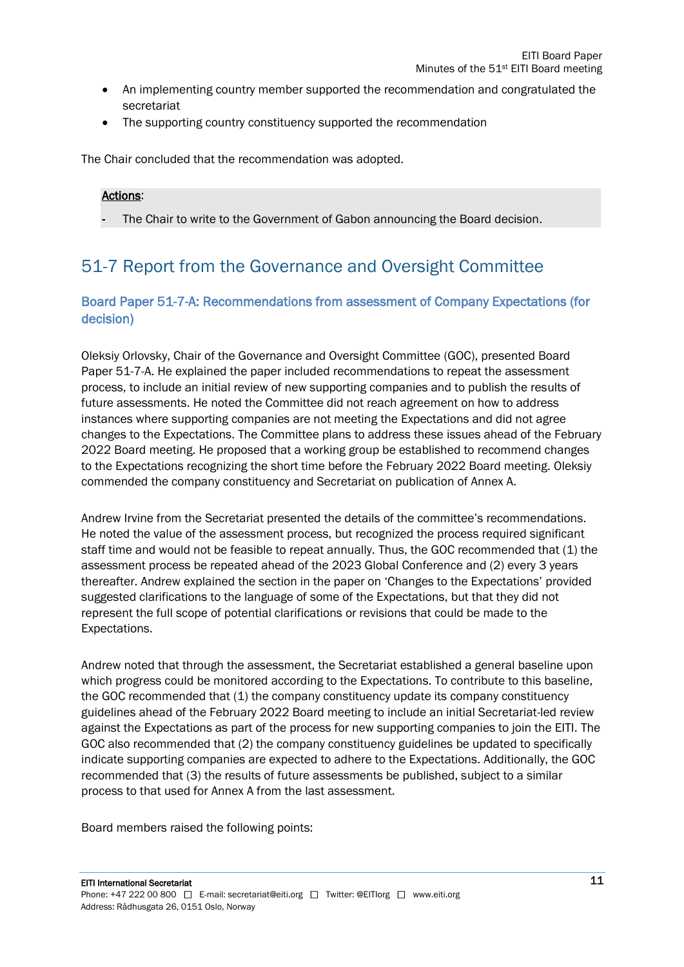- An implementing country member supported the recommendation and congratulated the secretariat
- The supporting country constituency supported the recommendation

The Chair concluded that the recommendation was adopted.

#### Actions:

The Chair to write to the Government of Gabon announcing the Board decision.

## 51-7 Report from the Governance and Oversight Committee

#### Board Paper 51-7-A: Recommendations from assessment of Company Expectations (for decision)

Oleksiy Orlovsky, Chair of the Governance and Oversight Committee (GOC), presented Board Paper 51-7-A. He explained the paper included recommendations to repeat the assessment process, to include an initial review of new supporting companies and to publish the results of future assessments. He noted the Committee did not reach agreement on how to address instances where supporting companies are not meeting the Expectations and did not agree changes to the Expectations. The Committee plans to address these issues ahead of the February 2022 Board meeting. He proposed that a working group be established to recommend changes to the Expectations recognizing the short time before the February 2022 Board meeting. Oleksiy commended the company constituency and Secretariat on publication of Annex A.

Andrew Irvine from the Secretariat presented the details of the committee's recommendations. He noted the value of the assessment process, but recognized the process required significant staff time and would not be feasible to repeat annually. Thus, the GOC recommended that (1) the assessment process be repeated ahead of the 2023 Global Conference and (2) every 3 years thereafter. Andrew explained the section in the paper on 'Changes to the Expectations' provided suggested clarifications to the language of some of the Expectations, but that they did not represent the full scope of potential clarifications or revisions that could be made to the Expectations.

Andrew noted that through the assessment, the Secretariat established a general baseline upon which progress could be monitored according to the Expectations. To contribute to this baseline, the GOC recommended that (1) the company constituency update its company constituency guidelines ahead of the February 2022 Board meeting to include an initial Secretariat-led review against the Expectations as part of the process for new supporting companies to join the EITI. The GOC also recommended that (2) the company constituency guidelines be updated to specifically indicate supporting companies are expected to adhere to the Expectations. Additionally, the GOC recommended that (3) the results of future assessments be published, subject to a similar process to that used for Annex A from the last assessment.

Board members raised the following points: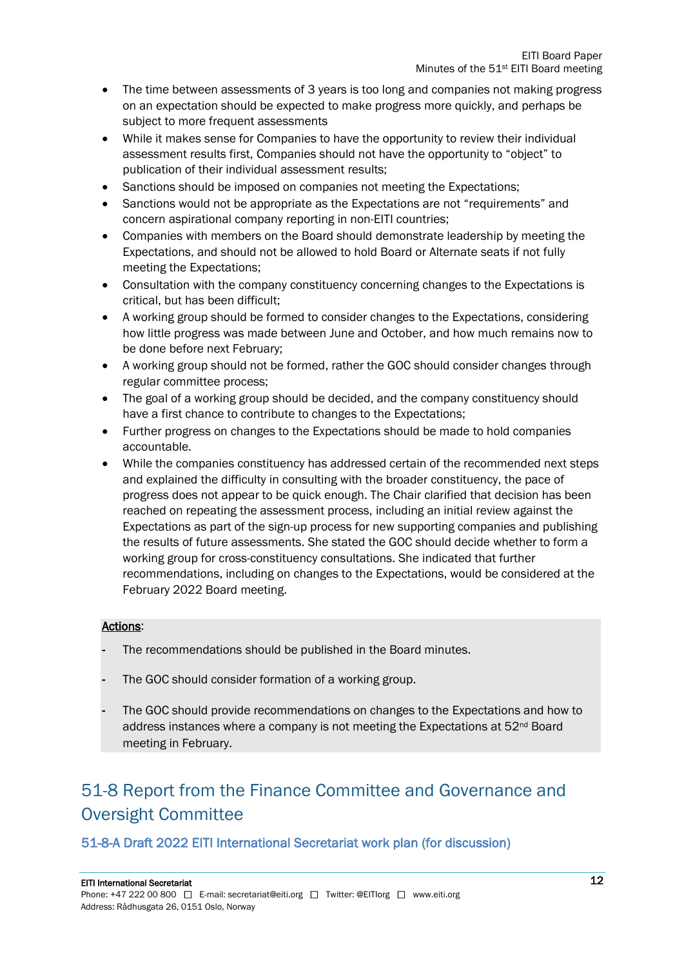- The time between assessments of 3 years is too long and companies not making progress on an expectation should be expected to make progress more quickly, and perhaps be subject to more frequent assessments
- While it makes sense for Companies to have the opportunity to review their individual assessment results first, Companies should not have the opportunity to "object" to publication of their individual assessment results;
- Sanctions should be imposed on companies not meeting the Expectations;
- Sanctions would not be appropriate as the Expectations are not "requirements" and concern aspirational company reporting in non-EITI countries;
- Companies with members on the Board should demonstrate leadership by meeting the Expectations, and should not be allowed to hold Board or Alternate seats if not fully meeting the Expectations;
- Consultation with the company constituency concerning changes to the Expectations is critical, but has been difficult;
- A working group should be formed to consider changes to the Expectations, considering how little progress was made between June and October, and how much remains now to be done before next February;
- A working group should not be formed, rather the GOC should consider changes through regular committee process;
- The goal of a working group should be decided, and the company constituency should have a first chance to contribute to changes to the Expectations;
- Further progress on changes to the Expectations should be made to hold companies accountable.
- While the companies constituency has addressed certain of the recommended next steps and explained the difficulty in consulting with the broader constituency, the pace of progress does not appear to be quick enough. The Chair clarified that decision has been reached on repeating the assessment process, including an initial review against the Expectations as part of the sign-up process for new supporting companies and publishing the results of future assessments. She stated the GOC should decide whether to form a working group for cross-constituency consultations. She indicated that further recommendations, including on changes to the Expectations, would be considered at the February 2022 Board meeting.

#### Actions:

- The recommendations should be published in the Board minutes.
- The GOC should consider formation of a working group.
- The GOC should provide recommendations on changes to the Expectations and how to address instances where a company is not meeting the Expectations at 52nd Board meeting in February.

## 51-8 Report from the Finance Committee and Governance and Oversight Committee

#### 51-8-A Draft 2022 EITI International Secretariat work plan (for discussion)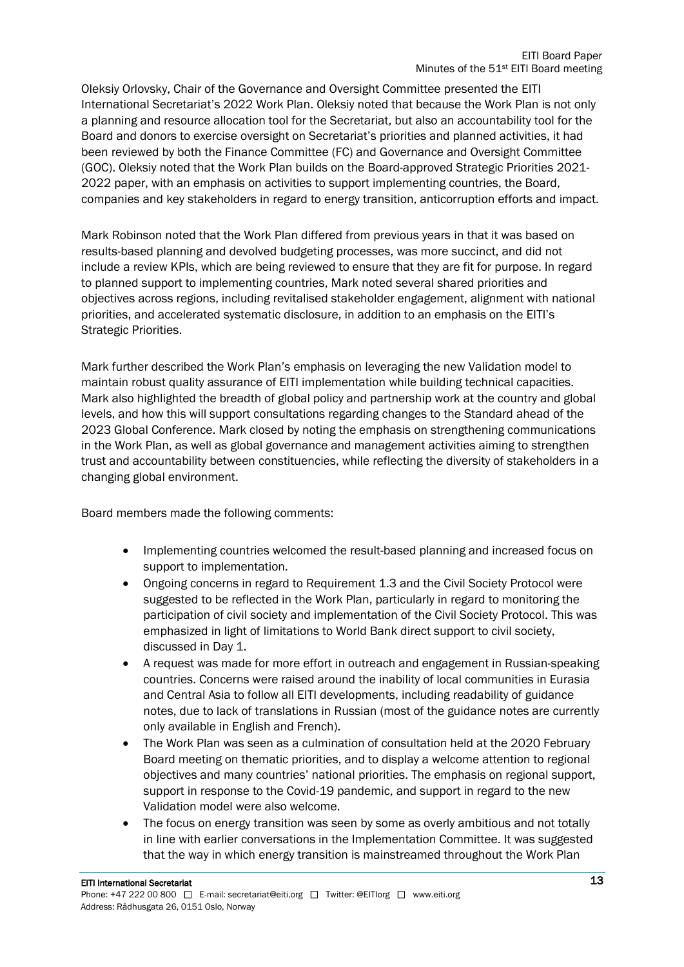Oleksiy Orlovsky, Chair of the Governance and Oversight Committee presented the EITI International Secretariat's 2022 Work Plan. Oleksiy noted that because the Work Plan is not only a planning and resource allocation tool for the Secretariat, but also an accountability tool for the Board and donors to exercise oversight on Secretariat's priorities and planned activities, it had been reviewed by both the Finance Committee (FC) and Governance and Oversight Committee (GOC). Oleksiy noted that the Work Plan builds on the Board-approved Strategic Priorities 2021- 2022 paper, with an emphasis on activities to support implementing countries, the Board, companies and key stakeholders in regard to energy transition, anticorruption efforts and impact.

Mark Robinson noted that the Work Plan differed from previous years in that it was based on results-based planning and devolved budgeting processes, was more succinct, and did not include a review KPIs, which are being reviewed to ensure that they are fit for purpose. In regard to planned support to implementing countries, Mark noted several shared priorities and objectives across regions, including revitalised stakeholder engagement, alignment with national priorities, and accelerated systematic disclosure, in addition to an emphasis on the EITI's Strategic Priorities.

Mark further described the Work Plan's emphasis on leveraging the new Validation model to maintain robust quality assurance of EITI implementation while building technical capacities. Mark also highlighted the breadth of global policy and partnership work at the country and global levels, and how this will support consultations regarding changes to the Standard ahead of the 2023 Global Conference. Mark closed by noting the emphasis on strengthening communications in the Work Plan, as well as global governance and management activities aiming to strengthen trust and accountability between constituencies, while reflecting the diversity of stakeholders in a changing global environment.

Board members made the following comments:

- Implementing countries welcomed the result-based planning and increased focus on support to implementation.
- Ongoing concerns in regard to Requirement 1.3 and the Civil Society Protocol were suggested to be reflected in the Work Plan, particularly in regard to monitoring the participation of civil society and implementation of the Civil Society Protocol. This was emphasized in light of limitations to World Bank direct support to civil society, discussed in Day 1.
- A request was made for more effort in outreach and engagement in Russian-speaking countries. Concerns were raised around the inability of local communities in Eurasia and Central Asia to follow all EITI developments, including readability of guidance notes, due to lack of translations in Russian (most of the guidance notes are currently only available in English and French).
- The Work Plan was seen as a culmination of consultation held at the 2020 February Board meeting on thematic priorities, and to display a welcome attention to regional objectives and many countries' national priorities. The emphasis on regional support, support in response to the Covid-19 pandemic, and support in regard to the new Validation model were also welcome.
- The focus on energy transition was seen by some as overly ambitious and not totally in line with earlier conversations in the Implementation Committee. It was suggested that the way in which energy transition is mainstreamed throughout the Work Plan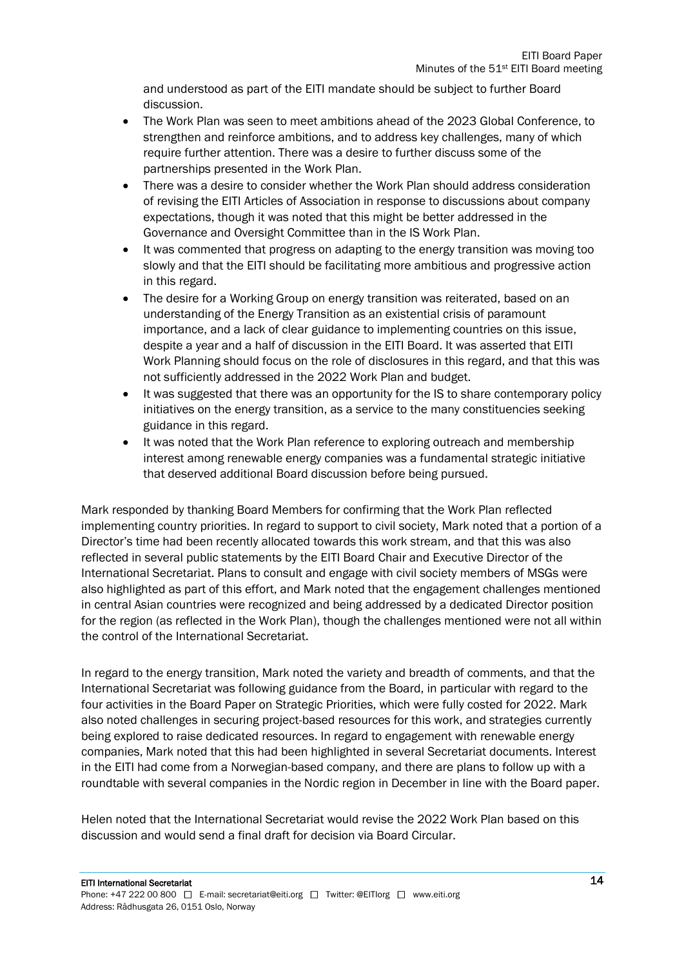and understood as part of the EITI mandate should be subject to further Board discussion.

- The Work Plan was seen to meet ambitions ahead of the 2023 Global Conference, to strengthen and reinforce ambitions, and to address key challenges, many of which require further attention. There was a desire to further discuss some of the partnerships presented in the Work Plan.
- There was a desire to consider whether the Work Plan should address consideration of revising the EITI Articles of Association in response to discussions about company expectations, though it was noted that this might be better addressed in the Governance and Oversight Committee than in the IS Work Plan.
- It was commented that progress on adapting to the energy transition was moving too slowly and that the EITI should be facilitating more ambitious and progressive action in this regard.
- The desire for a Working Group on energy transition was reiterated, based on an understanding of the Energy Transition as an existential crisis of paramount importance, and a lack of clear guidance to implementing countries on this issue, despite a year and a half of discussion in the EITI Board. It was asserted that EITI Work Planning should focus on the role of disclosures in this regard, and that this was not sufficiently addressed in the 2022 Work Plan and budget.
- It was suggested that there was an opportunity for the IS to share contemporary policy initiatives on the energy transition, as a service to the many constituencies seeking guidance in this regard.
- It was noted that the Work Plan reference to exploring outreach and membership interest among renewable energy companies was a fundamental strategic initiative that deserved additional Board discussion before being pursued.

Mark responded by thanking Board Members for confirming that the Work Plan reflected implementing country priorities. In regard to support to civil society, Mark noted that a portion of a Director's time had been recently allocated towards this work stream, and that this was also reflected in several public statements by the EITI Board Chair and Executive Director of the International Secretariat. Plans to consult and engage with civil society members of MSGs were also highlighted as part of this effort, and Mark noted that the engagement challenges mentioned in central Asian countries were recognized and being addressed by a dedicated Director position for the region (as reflected in the Work Plan), though the challenges mentioned were not all within the control of the International Secretariat.

In regard to the energy transition, Mark noted the variety and breadth of comments, and that the International Secretariat was following guidance from the Board, in particular with regard to the four activities in the Board Paper on Strategic Priorities, which were fully costed for 2022. Mark also noted challenges in securing project-based resources for this work, and strategies currently being explored to raise dedicated resources. In regard to engagement with renewable energy companies, Mark noted that this had been highlighted in several Secretariat documents. Interest in the EITI had come from a Norwegian-based company, and there are plans to follow up with a roundtable with several companies in the Nordic region in December in line with the Board paper.

Helen noted that the International Secretariat would revise the 2022 Work Plan based on this discussion and would send a final draft for decision via Board Circular.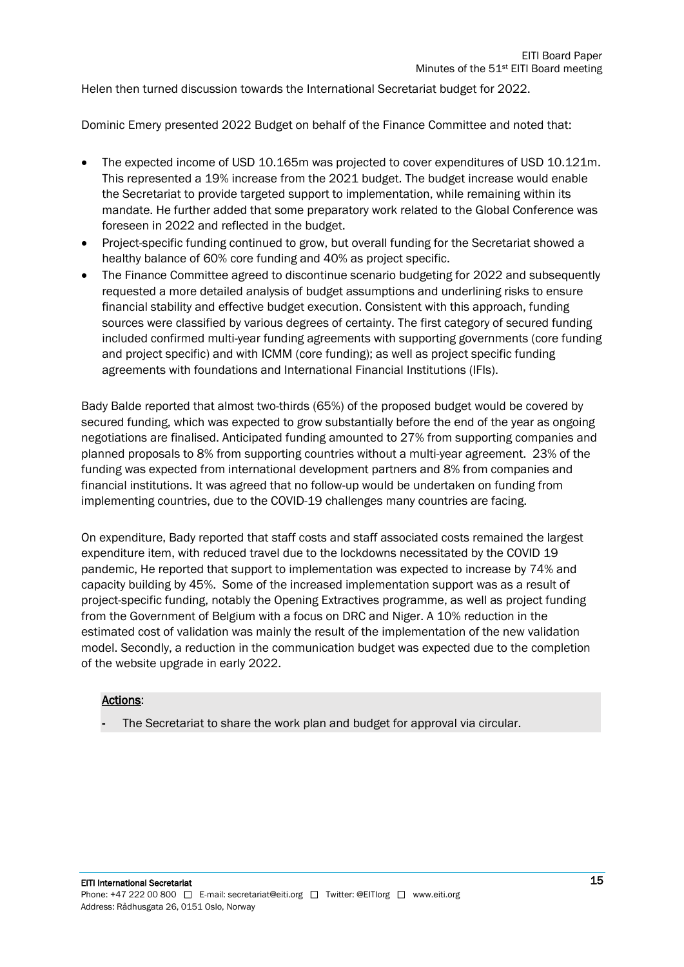Helen then turned discussion towards the International Secretariat budget for 2022.

Dominic Emery presented 2022 Budget on behalf of the Finance Committee and noted that:

- The expected income of USD 10.165m was projected to cover expenditures of USD 10.121m. This represented a 19% increase from the 2021 budget. The budget increase would enable the Secretariat to provide targeted support to implementation, while remaining within its mandate. He further added that some preparatory work related to the Global Conference was foreseen in 2022 and reflected in the budget.
- Project-specific funding continued to grow, but overall funding for the Secretariat showed a healthy balance of 60% core funding and 40% as project specific.
- The Finance Committee agreed to discontinue scenario budgeting for 2022 and subsequently requested a more detailed analysis of budget assumptions and underlining risks to ensure financial stability and effective budget execution. Consistent with this approach, funding sources were classified by various degrees of certainty. The first category of secured funding included confirmed multi-year funding agreements with supporting governments (core funding and project specific) and with ICMM (core funding); as well as project specific funding agreements with foundations and International Financial Institutions (IFIs).

Bady Balde reported that almost two-thirds (65%) of the proposed budget would be covered by secured funding, which was expected to grow substantially before the end of the year as ongoing negotiations are finalised. Anticipated funding amounted to 27% from supporting companies and planned proposals to 8% from supporting countries without a multi-year agreement. 23% of the funding was expected from international development partners and 8% from companies and financial institutions. It was agreed that no follow-up would be undertaken on funding from implementing countries, due to the COVID-19 challenges many countries are facing.

On expenditure, Bady reported that staff costs and staff associated costs remained the largest expenditure item, with reduced travel due to the lockdowns necessitated by the COVID 19 pandemic, He reported that support to implementation was expected to increase by 74% and capacity building by 45%. Some of the increased implementation support was as a result of project-specific funding, notably the Opening Extractives programme, as well as project funding from the Government of Belgium with a focus on DRC and Niger. A 10% reduction in the estimated cost of validation was mainly the result of the implementation of the new validation model. Secondly, a reduction in the communication budget was expected due to the completion of the website upgrade in early 2022.

#### Actions:

The Secretariat to share the work plan and budget for approval via circular.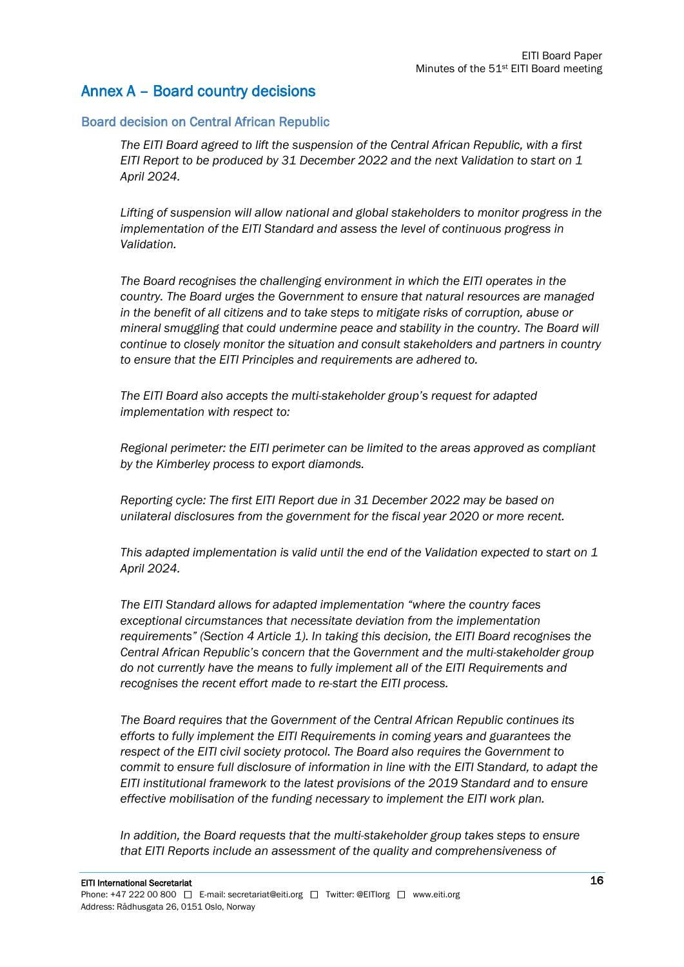#### Annex A – Board country decisions

#### Board decision on Central African Republic

*The EITI Board agreed to lift the suspension of the Central African Republic, with a first EITI Report to be produced by 31 December 2022 and the next Validation to start on 1 April 2024.*

*Lifting of suspension will allow national and global stakeholders to monitor progress in the implementation of the EITI Standard and assess the level of continuous progress in Validation.*

*The Board recognises the challenging environment in which the EITI operates in the country. The Board urges the Government to ensure that natural resources are managed in the benefit of all citizens and to take steps to mitigate risks of corruption, abuse or mineral smuggling that could undermine peace and stability in the country. The Board will continue to closely monitor the situation and consult stakeholders and partners in country to ensure that the EITI Principles and requirements are adhered to.*

*The EITI Board also accepts the multi-stakeholder group's request for adapted implementation with respect to:*

*Regional perimeter: the EITI perimeter can be limited to the areas approved as compliant by the Kimberley process to export diamonds.*

*Reporting cycle: The first EITI Report due in 31 December 2022 may be based on unilateral disclosures from the government for the fiscal year 2020 or more recent.*

*This adapted implementation is valid until the end of the Validation expected to start on 1 April 2024.*

*The EITI Standard allows for adapted implementation "where the country faces exceptional circumstances that necessitate deviation from the implementation requirements" (Section 4 Article 1). In taking this decision, the EITI Board recognises the Central African Republic's concern that the Government and the multi-stakeholder group do not currently have the means to fully implement all of the EITI Requirements and recognises the recent effort made to re-start the EITI process.*

*The Board requires that the Government of the Central African Republic continues its efforts to fully implement the EITI Requirements in coming years and guarantees the respect of the EITI civil society protocol. The Board also requires the Government to commit to ensure full disclosure of information in line with the EITI Standard, to adapt the EITI institutional framework to the latest provisions of the 2019 Standard and to ensure effective mobilisation of the funding necessary to implement the EITI work plan.*

*In addition, the Board requests that the multi-stakeholder group takes steps to ensure that EITI Reports include an assessment of the quality and comprehensiveness of*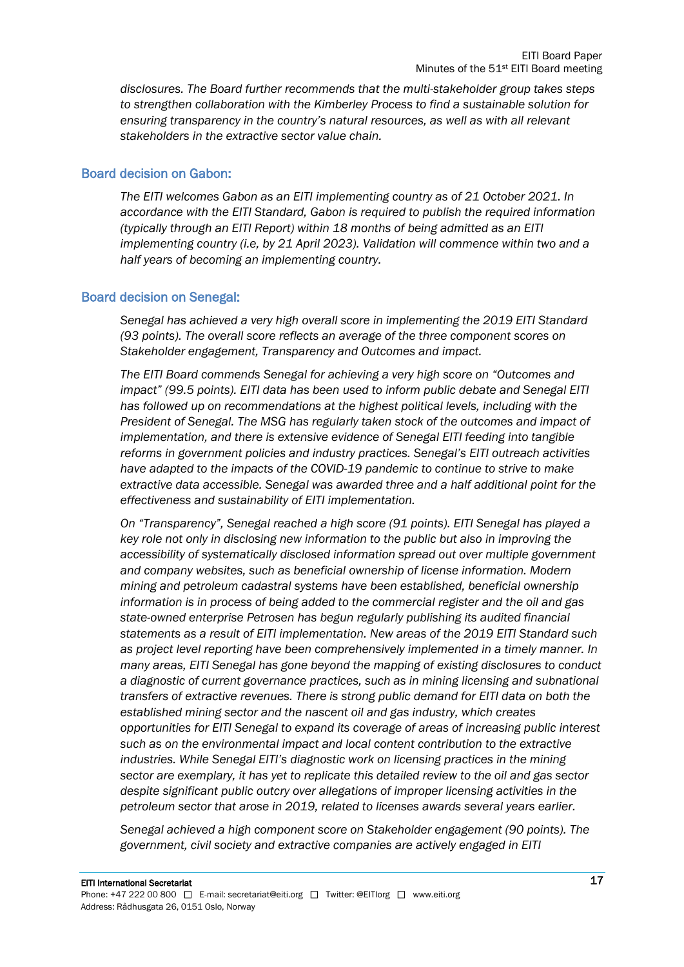*disclosures. The Board further recommends that the multi-stakeholder group takes steps to strengthen collaboration with the Kimberley Process to find a sustainable solution for ensuring transparency in the country's natural resources, as well as with all relevant stakeholders in the extractive sector value chain.*

#### Board decision on Gabon:

*The EITI welcomes Gabon as an EITI implementing country as of 21 October 2021. In accordance with the EITI Standard, Gabon is required to publish the required information (typically through an EITI Report) within 18 months of being admitted as an EITI implementing country (i.e, by 21 April 2023). Validation will commence within two and a half years of becoming an implementing country.*

#### Board decision on Senegal:

*Senegal has achieved a very high overall score in implementing the 2019 EITI Standard (93 points). The overall score reflects an average of the three component scores on Stakeholder engagement, Transparency and Outcomes and impact.* 

*The EITI Board commends Senegal for achieving a very high score on "Outcomes and impact" (99.5 points). EITI data has been used to inform public debate and Senegal EITI has followed up on recommendations at the highest political levels, including with the President of Senegal. The MSG has regularly taken stock of the outcomes and impact of implementation, and there is extensive evidence of Senegal EITI feeding into tangible reforms in government policies and industry practices. Senegal's EITI outreach activities have adapted to the impacts of the COVID-19 pandemic to continue to strive to make extractive data accessible. Senegal was awarded three and a half additional point for the effectiveness and sustainability of EITI implementation.* 

*On "Transparency", Senegal reached a high score (91 points). EITI Senegal has played a key role not only in disclosing new information to the public but also in improving the accessibility of systematically disclosed information spread out over multiple government and company websites, such as beneficial ownership of license information. Modern mining and petroleum cadastral systems have been established, beneficial ownership information is in process of being added to the commercial register and the oil and gas state-owned enterprise Petrosen has begun regularly publishing its audited financial statements as a result of EITI implementation. New areas of the 2019 EITI Standard such as project level reporting have been comprehensively implemented in a timely manner. In many areas, EITI Senegal has gone beyond the mapping of existing disclosures to conduct a diagnostic of current governance practices, such as in mining licensing and subnational transfers of extractive revenues. There is strong public demand for EITI data on both the established mining sector and the nascent oil and gas industry, which creates opportunities for EITI Senegal to expand its coverage of areas of increasing public interest such as on the environmental impact and local content contribution to the extractive industries. While Senegal EITI's diagnostic work on licensing practices in the mining sector are exemplary, it has yet to replicate this detailed review to the oil and gas sector despite significant public outcry over allegations of improper licensing activities in the petroleum sector that arose in 2019, related to licenses awards several years earlier.* 

*Senegal achieved a high component score on Stakeholder engagement (90 points). The government, civil society and extractive companies are actively engaged in EITI*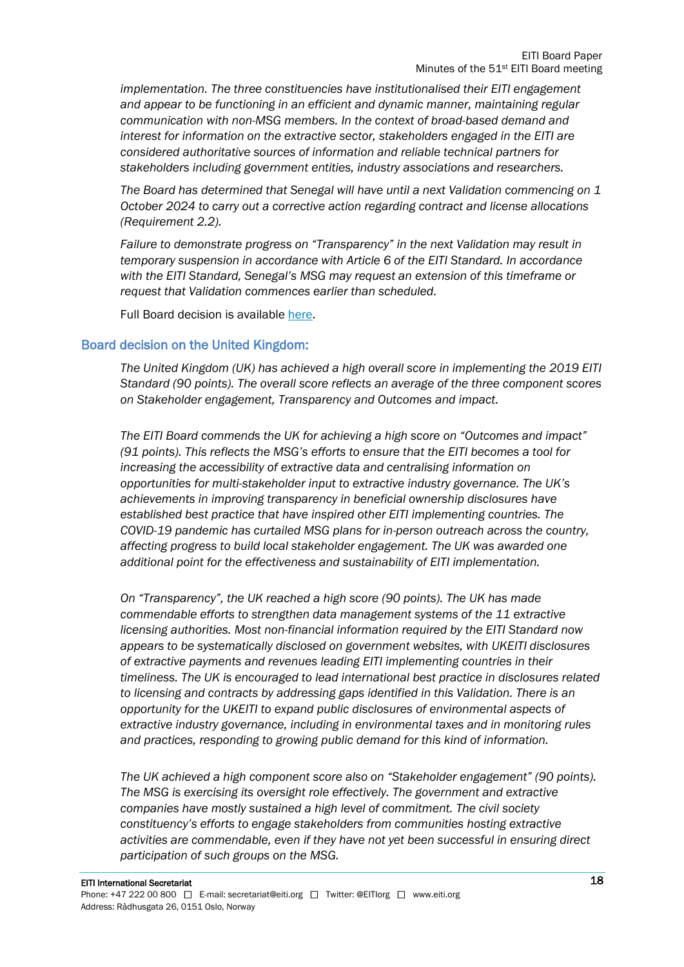*implementation. The three constituencies have institutionalised their EITI engagement and appear to be functioning in an efficient and dynamic manner, maintaining regular communication with non-MSG members. In the context of broad-based demand and interest for information on the extractive sector, stakeholders engaged in the EITI are considered authoritative sources of information and reliable technical partners for stakeholders including government entities, industry associations and researchers.*

*The Board has determined that Senegal will have until a next Validation commencing on 1 October 2024 to carry out a corrective action regarding contract and license allocations (Requirement 2.2).*

*Failure to demonstrate progress on "Transparency" in the next Validation may result in temporary suspension in accordance with Article 6 of the EITI Standard. In accordance with the EITI Standard, Senegal's MSG may request an extension of this timeframe or request that Validation commences earlier than scheduled.*

Full Board decision is available [here.](https://eiti.org/board-decision/2021-62)

#### Board decision on the United Kingdom:

*The United Kingdom (UK) has achieved a high overall score in implementing the 2019 EITI Standard (90 points). The overall score reflects an average of the three component scores on Stakeholder engagement, Transparency and Outcomes and impact.*

*The EITI Board commends the UK for achieving a high score on "Outcomes and impact" (91 points). This reflects the MSG's efforts to ensure that the EITI becomes a tool for increasing the accessibility of extractive data and centralising information on opportunities for multi-stakeholder input to extractive industry governance. The UK's achievements in improving transparency in beneficial ownership disclosures have established best practice that have inspired other EITI implementing countries. The COVID-19 pandemic has curtailed MSG plans for in-person outreach across the country, affecting progress to build local stakeholder engagement. The UK was awarded one additional point for the effectiveness and sustainability of EITI implementation.*

*On "Transparency", the UK reached a high score (90 points). The UK has made commendable efforts to strengthen data management systems of the 11 extractive licensing authorities. Most non-financial information required by the EITI Standard now appears to be systematically disclosed on government websites, with UKEITI disclosures of extractive payments and revenues leading EITI implementing countries in their timeliness. The UK is encouraged to lead international best practice in disclosures related to licensing and contracts by addressing gaps identified in this Validation. There is an opportunity for the UKEITI to expand public disclosures of environmental aspects of extractive industry governance, including in environmental taxes and in monitoring rules and practices, responding to growing public demand for this kind of information.*

*The UK achieved a high component score also on "Stakeholder engagement" (90 points). The MSG is exercising its oversight role effectively. The government and extractive companies have mostly sustained a high level of commitment. The civil society constituency's efforts to engage stakeholders from communities hosting extractive activities are commendable, even if they have not yet been successful in ensuring direct participation of such groups on the MSG.*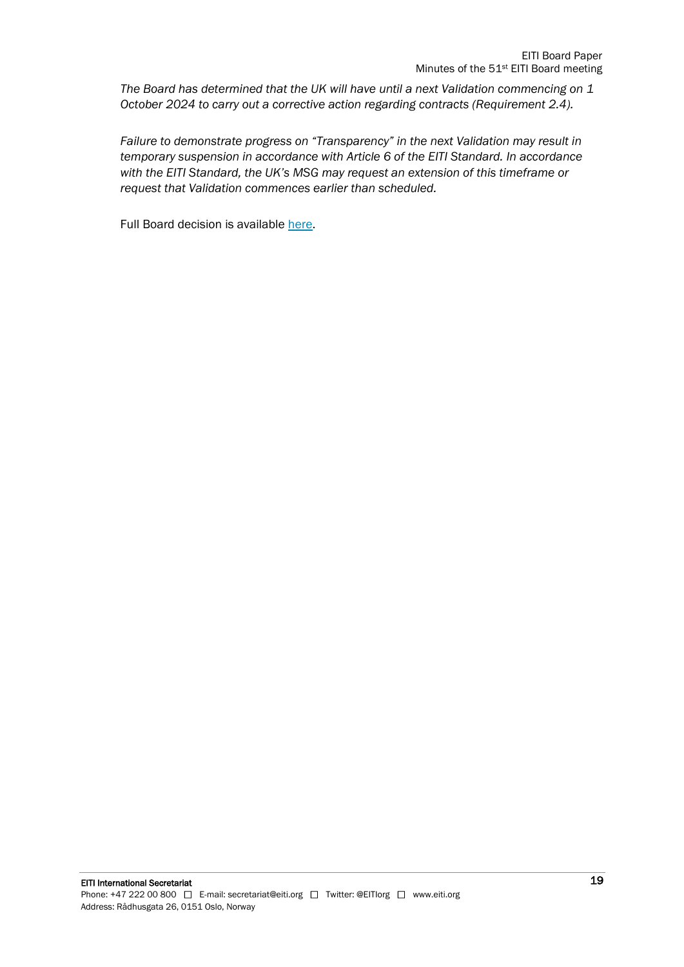*The Board has determined that the UK will have until a next Validation commencing on 1 October 2024 to carry out a corrective action regarding contracts (Requirement 2.4).* 

*Failure to demonstrate progress on "Transparency" in the next Validation may result in temporary suspension in accordance with Article 6 of the EITI Standard. In accordance with the EITI Standard, the UK's MSG may request an extension of this timeframe or request that Validation commences earlier than scheduled.*

Full Board decision is available [here.](https://eiti.org/board-decision/2021-63)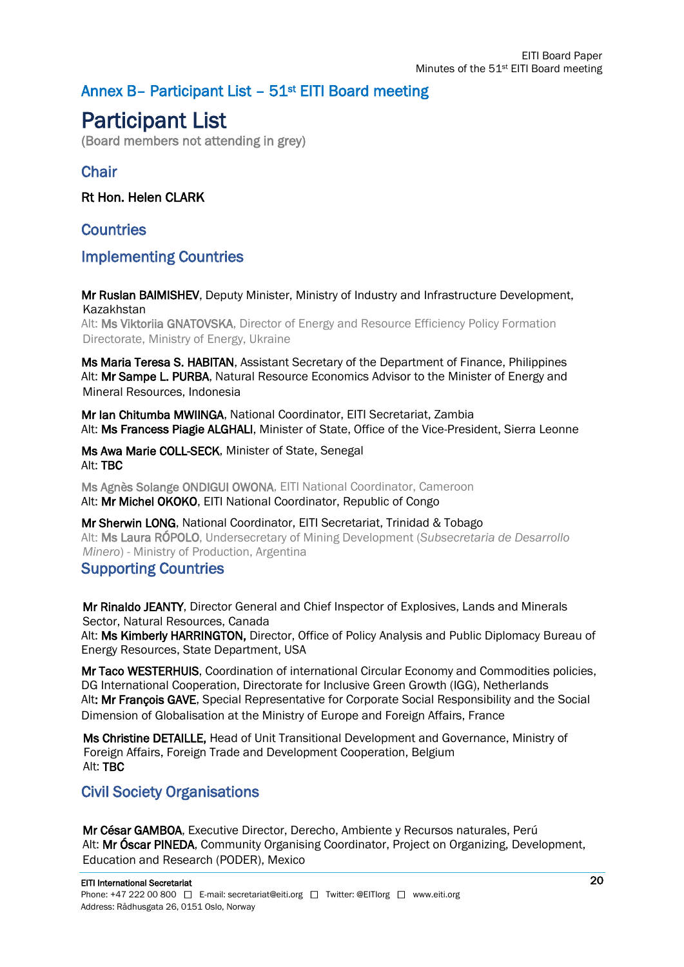### Annex B- Participant List - 51<sup>st</sup> EITI Board meeting

## Participant List

(Board members not attending in grey)

#### **Chair**

Rt Hon. Helen CLARK

**Countries** 

#### Implementing Countries

Mr Ruslan BAIMISHEV, Deputy Minister, Ministry of Industry and Infrastructure Development, Kazakhstan

Alt: Ms Viktoriia GNATOVSKA, Director of Energy and Resource Efficiency Policy Formation Directorate, Ministry of Energy, Ukraine

Ms Maria Teresa S. HABITAN, Assistant Secretary of the Department of Finance, Philippines Alt: Mr Sampe L. PURBA, Natural Resource Economics Advisor to the Minister of Energy and Mineral Resources, Indonesia

Mr Ian Chitumba MWIINGA, National Coordinator, EITI Secretariat, Zambia Alt: Ms Francess Piagie ALGHALI, Minister of State, Office of the Vice-President, Sierra Leonne

Ms Awa Marie COLL-SECK, Minister of State, Senegal Alt: TBC

Ms Agnès Solange ONDIGUI OWONA, EITI National Coordinator, Cameroon Alt: Mr Michel OKOKO, EITI National Coordinator, Republic of Congo

Mr Sherwin LONG, National Coordinator, EITI Secretariat, Trinidad & Tobago Alt: Ms Laura RÓPOLO, Undersecretary of Mining Development (*Subsecretaria de Desarrollo Minero*) - Ministry of Production, Argentina

#### Supporting Countries

Mr Rinaldo JEANTY, Director General and Chief Inspector of Explosives, Lands and Minerals Sector, Natural Resources, Canada

Alt: Ms Kimberly HARRINGTON, Director, Office of Policy Analysis and Public Diplomacy Bureau of Energy Resources, State Department, USA

Mr Taco WESTERHUIS, Coordination of international Circular Economy and Commodities policies, DG International Cooperation, Directorate for Inclusive Green Growth (IGG), Netherlands Alt: Mr Francois GAVE. Special Representative for Corporate Social Responsibility and the Social Dimension of Globalisation at the Ministry of Europe and Foreign Affairs, France

Ms Christine DETAILLE, Head of Unit Transitional Development and Governance, Ministry of Foreign Affairs, Foreign Trade and Development Cooperation, Belgium Alt: TBC

#### Civil Society Organisations

Mr César GAMBOA, Executive Director, Derecho, Ambiente y Recursos naturales, Perú Alt: Mr Oscar PINEDA, Community Organising Coordinator, Project on Organizing, Development, Education and Research (PODER), Mexico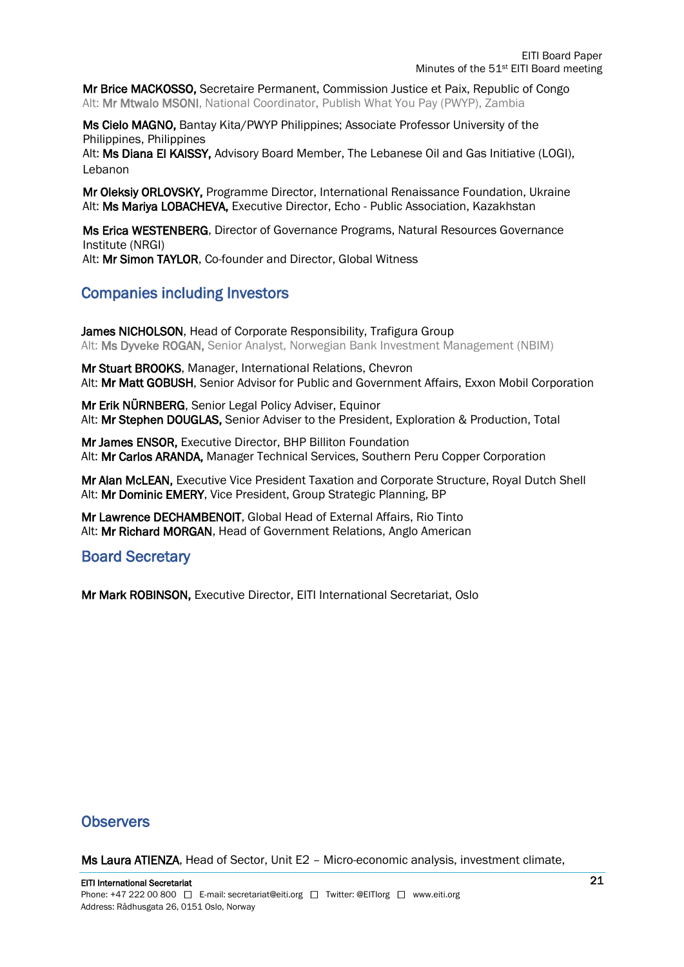Mr Brice MACKOSSO, Secretaire Permanent, Commission Justice et Paix, Republic of Congo Alt: Mr Mtwalo MSONI, National Coordinator, Publish What You Pay (PWYP), Zambia

Ms Cielo MAGNO, Bantay Kita/PWYP Philippines; Associate Professor University of the Philippines, Philippines

Alt: Ms Diana El KAISSY, Advisory Board Member, The Lebanese Oil and Gas Initiative (LOGI), Lebanon

Mr Oleksiy ORLOVSKY, Programme Director, International Renaissance Foundation, Ukraine Alt: Ms Mariya LOBACHEVA, Executive Director, Echo - Public Association, Kazakhstan

Ms Erica WESTENBERG, Director of Governance Programs, Natural Resources Governance Institute (NRGI)

Alt: Mr Simon TAYLOR, Co-founder and Director, Global Witness

#### Companies including Investors

James NICHOLSON, Head of Corporate Responsibility, Trafigura Group Alt: Ms Dyveke ROGAN, Senior Analyst, Norwegian Bank Investment Management (NBIM)

Mr Stuart BROOKS, Manager, International Relations, Chevron Alt: Mr Matt GOBUSH, Senior Advisor for Public and Government Affairs, Exxon Mobil Corporation

Mr Erik NÜRNBERG, Senior Legal Policy Adviser, Equinor Alt: Mr Stephen DOUGLAS, Senior Adviser to the President, Exploration & Production, Total

Mr James ENSOR, Executive Director, BHP Billiton Foundation Alt: Mr Carlos ARANDA, Manager Technical Services, Southern Peru Copper Corporation

Mr Alan McLEAN, Executive Vice President Taxation and Corporate Structure, Royal Dutch Shell Alt: Mr Dominic EMERY, Vice President, Group Strategic Planning, BP

Mr Lawrence DECHAMBENOIT, Global Head of External Affairs, Rio Tinto Alt: Mr Richard MORGAN, Head of Government Relations, Anglo American

#### Board Secretary

Mr Mark ROBINSON, Executive Director, EITI International Secretariat, Oslo

#### **Observers**

Ms Laura ATIENZA, Head of Sector, Unit E2 – Micro-economic analysis, investment climate,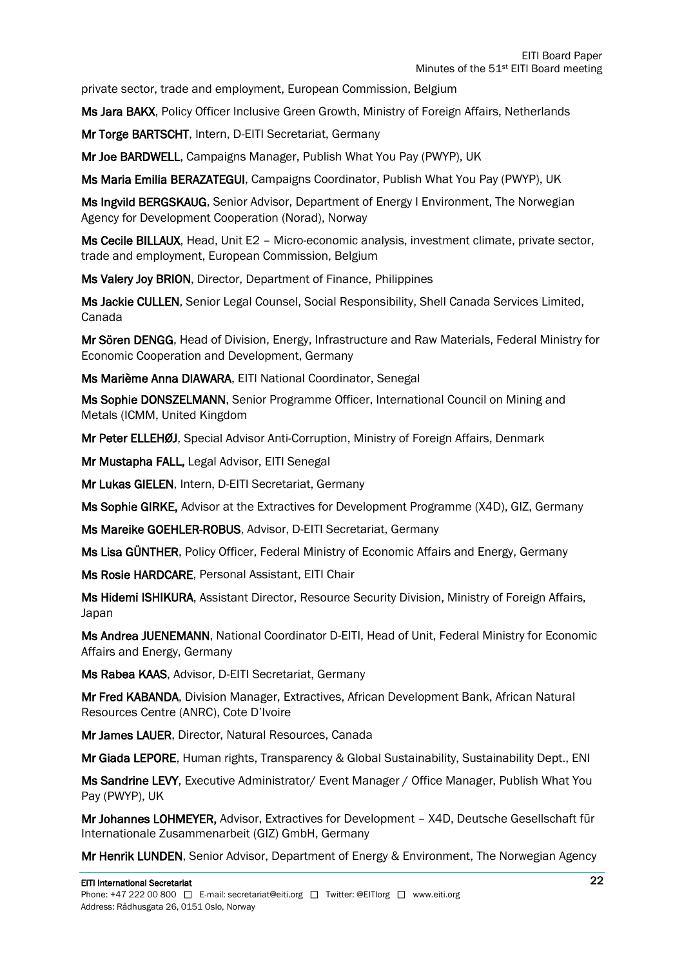private sector, trade and employment, European Commission, Belgium

Ms Jara BAKX, Policy Officer Inclusive Green Growth, Ministry of Foreign Affairs, Netherlands

Mr Torge BARTSCHT, Intern, D-EITI Secretariat, Germany

Mr Joe BARDWELL, Campaigns Manager, Publish What You Pay (PWYP), UK

Ms Maria Emilia BERAZATEGUI, Campaigns Coordinator, Publish What You Pay (PWYP), UK

Ms Ingvild BERGSKAUG, Senior Advisor, Department of Energy I Environment, The Norwegian Agency for Development Cooperation (Norad), Norway

Ms Cecile BILLAUX, Head, Unit E2 – Micro-economic analysis, investment climate, private sector, trade and employment, European Commission, Belgium

Ms Valery Joy BRION, Director, Department of Finance, Philippines

Ms Jackie CULLEN, Senior Legal Counsel, Social Responsibility, Shell Canada Services Limited, Canada

Mr Sören DENGG, Head of Division, Energy, Infrastructure and Raw Materials, Federal Ministry for Economic Cooperation and Development, Germany

Ms Marième Anna DIAWARA, EITI National Coordinator, Senegal

Ms Sophie DONSZELMANN, Senior Programme Officer, International Council on Mining and Metals (ICMM, United Kingdom

Mr Peter ELLEHØJ, Special Advisor Anti-Corruption, Ministry of Foreign Affairs, Denmark

Mr Mustapha FALL, Legal Advisor, EITI Senegal

Mr Lukas GIELEN, Intern, D-EITI Secretariat, Germany

Ms Sophie GIRKE, Advisor at the Extractives for Development Programme (X4D), GIZ, Germany

Ms Mareike GOEHLER-ROBUS, Advisor, D-EITI Secretariat, Germany

Ms Lisa GÜNTHER, Policy Officer, Federal Ministry of Economic Affairs and Energy, Germany

Ms Rosie HARDCARE, Personal Assistant, EITI Chair

Ms Hidemi ISHIKURA, Assistant Director, Resource Security Division, Ministry of Foreign Affairs, Japan

Ms Andrea JUENEMANN, National Coordinator D-EITI, Head of Unit, Federal Ministry for Economic Affairs and Energy, Germany

Ms Rabea KAAS, Advisor, D-EITI Secretariat, Germany

Mr Fred KABANDA, Division Manager, Extractives, African Development Bank, African Natural Resources Centre (ANRC), Cote D'Ivoire

Mr James LAUER, Director, Natural Resources, Canada

Mr Giada LEPORE, Human rights, Transparency & Global Sustainability, Sustainability Dept., ENI

Ms Sandrine LEVY, Executive Administrator/ Event Manager / Office Manager, Publish What You Pay (PWYP), UK

Mr Johannes LOHMEYER, Advisor, Extractives for Development – X4D, Deutsche Gesellschaft für Internationale Zusammenarbeit (GIZ) GmbH, Germany

Mr Henrik LUNDEN, Senior Advisor, Department of Energy & Environment, The Norwegian Agency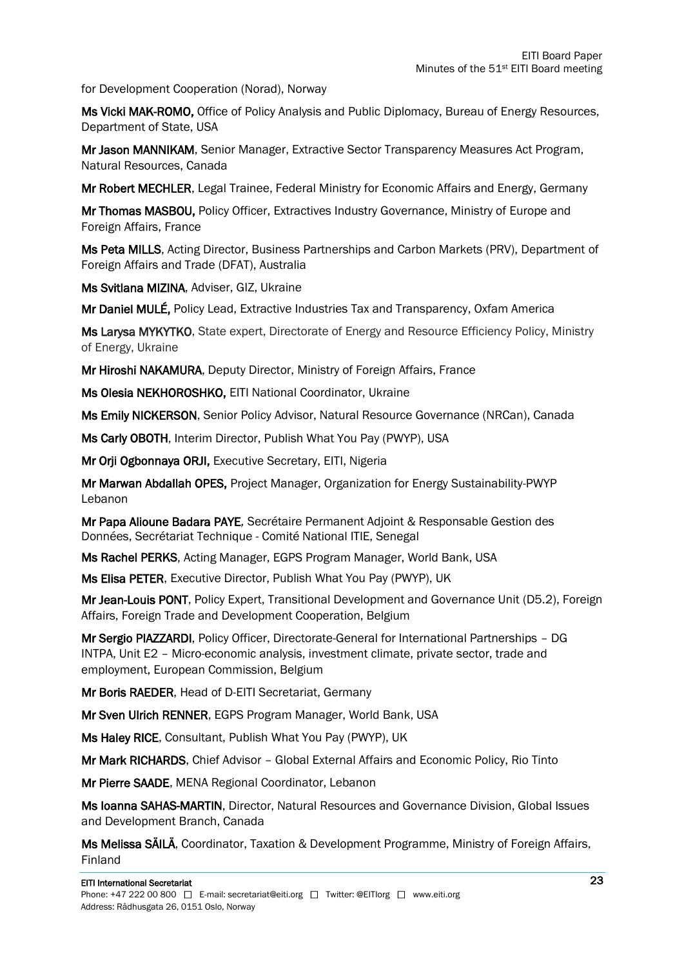for Development Cooperation (Norad), Norway

Ms Vicki MAK-ROMO, Office of Policy Analysis and Public Diplomacy, Bureau of Energy Resources, Department of State, USA

Mr Jason MANNIKAM, Senior Manager, Extractive Sector Transparency Measures Act Program, Natural Resources, Canada

Mr Robert MECHLER, Legal Trainee, Federal Ministry for Economic Affairs and Energy, Germany

Mr Thomas MASBOU, Policy Officer, Extractives Industry Governance, Ministry of Europe and Foreign Affairs, France

Ms Peta MILLS, Acting Director, Business Partnerships and Carbon Markets (PRV), Department of Foreign Affairs and Trade (DFAT), Australia

Ms Svitlana MIZINA, Adviser, GIZ, Ukraine

Mr Daniel MULÉ, Policy Lead, Extractive Industries Tax and Transparency, Oxfam America

Ms Larysa MYKYTKO, State expert, Directorate of Energy and Resource Efficiency Policy, Ministry of Energy, Ukraine

Mr Hiroshi NAKAMURA, Deputy Director, Ministry of Foreign Affairs, France

Ms Olesia NEKHOROSHKO, EITI National Coordinator, Ukraine

Ms Emily NICKERSON, Senior Policy Advisor, Natural Resource Governance (NRCan), Canada

Ms Carly OBOTH, Interim Director, Publish What You Pay (PWYP), USA

Mr Orji Ogbonnaya ORJI, Executive Secretary, EITI, Nigeria

Mr Marwan Abdallah OPES, Project Manager, Organization for Energy Sustainability-PWYP Lebanon

Mr Papa Alioune Badara PAYE*,* Secrétaire Permanent Adjoint & Responsable Gestion des Données, Secrétariat Technique - Comité National ITIE, Senegal

Ms Rachel PERKS, Acting Manager, EGPS Program Manager, World Bank, USA

Ms Elisa PETER, Executive Director, Publish What You Pay (PWYP), UK

Mr Jean-Louis PONT, Policy Expert, Transitional Development and Governance Unit (D5.2), Foreign Affairs, Foreign Trade and Development Cooperation, Belgium

Mr Sergio PIAZZARDI, Policy Officer, Directorate-General for International Partnerships – DG INTPA, Unit E2 – Micro-economic analysis, investment climate, private sector, trade and employment, European Commission, Belgium

Mr Boris RAEDER, Head of D-EITI Secretariat, Germany

Mr Sven Ulrich RENNER, EGPS Program Manager, World Bank, USA

Ms Haley RICE, Consultant, Publish What You Pay (PWYP), UK

Mr Mark RICHARDS, Chief Advisor – Global External Affairs and Economic Policy, Rio Tinto

Mr Pierre SAADE, MENA Regional Coordinator, Lebanon

Ms Ioanna SAHAS-MARTIN, Director, Natural Resources and Governance Division, Global Issues and Development Branch, Canada

Ms Melissa SÄILÄ, Coordinator, Taxation & Development Programme, Ministry of Foreign Affairs, Finland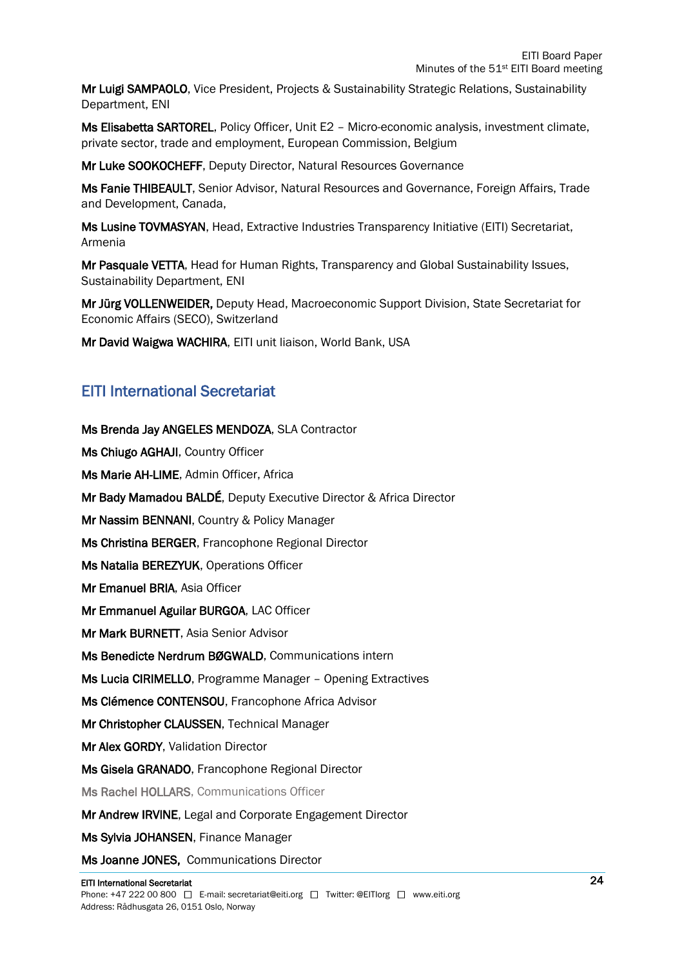Mr Luigi SAMPAOLO, Vice President, Projects & Sustainability Strategic Relations, Sustainability Department, ENI

Ms Elisabetta SARTOREL, Policy Officer, Unit E2 – Micro-economic analysis, investment climate, private sector, trade and employment, European Commission, Belgium

Mr Luke SOOKOCHEFF, Deputy Director, Natural Resources Governance

Ms Fanie THIBEAULT, Senior Advisor, Natural Resources and Governance, Foreign Affairs, Trade and Development, Canada,

Ms Lusine TOVMASYAN, Head, Extractive Industries Transparency Initiative (EITI) Secretariat, Armenia

Mr Pasquale VETTA, Head for Human Rights, Transparency and Global Sustainability Issues, Sustainability Department, ENI

Mr Jürg VOLLENWEIDER, Deputy Head, Macroeconomic Support Division, State Secretariat for Economic Affairs (SECO), Switzerland

Mr David Waigwa WACHIRA, EITI unit liaison, World Bank, USA

#### EITI International Secretariat

Ms Brenda Jay ANGELES MENDOZA, SLA Contractor Ms Chiugo AGHAJI, Country Officer Ms Marie AH-LIME, Admin Officer, Africa Mr Bady Mamadou BALDÉ, Deputy Executive Director & Africa Director Mr Nassim BENNANI, Country & Policy Manager Ms Christina BERGER, Francophone Regional Director Ms Natalia BEREZYUK, Operations Officer Mr Emanuel BRIA, Asia Officer Mr Emmanuel Aguilar BURGOA, LAC Officer Mr Mark BURNETT, Asia Senior Advisor Ms Benedicte Nerdrum BØGWALD, Communications intern Ms Lucia CIRIMELLO, Programme Manager – Opening Extractives Ms Clémence CONTENSOU, Francophone Africa Advisor Mr Christopher CLAUSSEN, Technical Manager Mr Alex GORDY, Validation Director Ms Gisela GRANADO, Francophone Regional Director Ms Rachel HOLLARS, Communications Officer Mr Andrew IRVINE, Legal and Corporate Engagement Director Ms Sylvia JOHANSEN, Finance Manager

Ms Joanne JONES, Communications Director

#### EITI International Secretariat

Phone: +47 222 00 800  $\Box$  E-mail: secretariat@eiti.org  $\Box$  Twitter: @EITIorg  $\Box$  www.eiti.org Address: Rådhusgata 26, 0151 Oslo, Norway